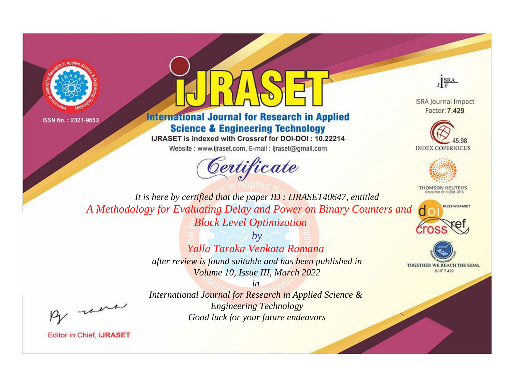



## **International Journal for Research in Applied Science & Engineering Technology**

IJRASET is indexed with Crossref for DOI-DOI: 10.22214

Website: www.ijraset.com, E-mail: ijraset@gmail.com





**ISRA Journal Impact** Factor: 7.429





**THOMSON REUTERS** 



TOGETHER WE REACH THE GOAL **SJIF 7.429** 

*It is here by certified that the paper ID : IJRASET40647, entitled A Methodology for Evaluating Delay and Power on Binary Counters and Block Level Optimization*

> *by Yalla Taraka Venkata Ramana after review is found suitable and has been published in Volume 10, Issue III, March 2022*

, un

*International Journal for Research in Applied Science & Engineering Technology Good luck for your future endeavors*

*in*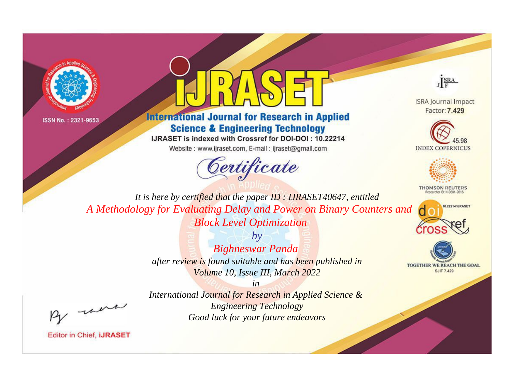



## **International Journal for Research in Applied Science & Engineering Technology**

IJRASET is indexed with Crossref for DOI-DOI: 10.22214

Website: www.ijraset.com, E-mail: ijraset@gmail.com





**ISRA Journal Impact** Factor: 7.429





**THOMSON REUTERS** 



TOGETHER WE REACH THE GOAL **SJIF 7.429** 

*It is here by certified that the paper ID : IJRASET40647, entitled A Methodology for Evaluating Delay and Power on Binary Counters and Block Level Optimization*

> *by Bighneswar Panda after review is found suitable and has been published in Volume 10, Issue III, March 2022*

, un

*International Journal for Research in Applied Science & Engineering Technology Good luck for your future endeavors*

*in*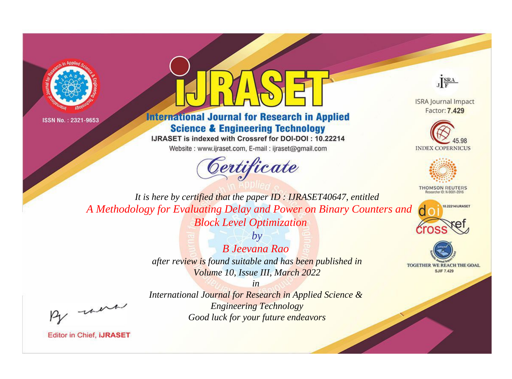



## **International Journal for Research in Applied Science & Engineering Technology**

IJRASET is indexed with Crossref for DOI-DOI: 10.22214

Website: www.ijraset.com, E-mail: ijraset@gmail.com



JERA

**ISRA Journal Impact** Factor: 7.429





**THOMSON REUTERS** 



TOGETHER WE REACH THE GOAL **SJIF 7.429** 

It is here by certified that the paper ID: IJRASET40647, entitled A Methodology for Evaluating Delay and Power on Binary Counters and **Block Level Optimization** 

> $b\nu$ **B** Jeevana Rao after review is found suitable and has been published in Volume 10, Issue III, March 2022

were

International Journal for Research in Applied Science & **Engineering Technology** Good luck for your future endeavors

 $in$